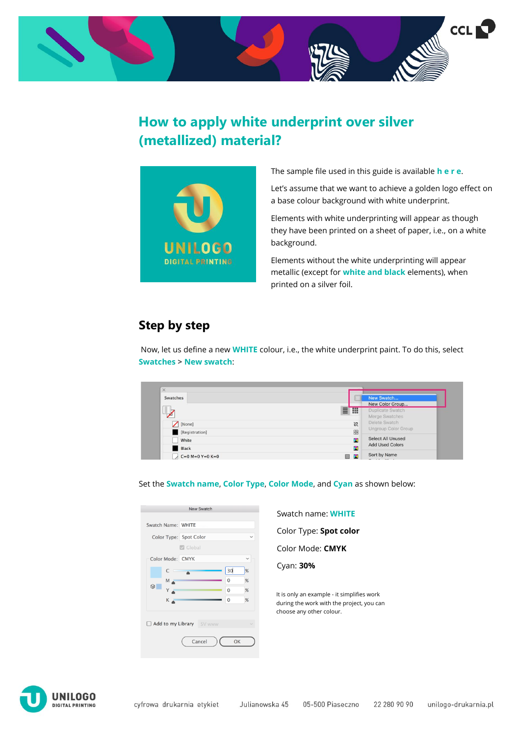

## **How to apply white underprint over silver (metallized) material?**



The sample file used in this guide is available **[h e r e](https://unilogo-printinghouse.co.uk/userfiles/files/file-wzor-pliku-produkcyjnego-etykiet-samoprzylepnych-przygotowanych-do-druku-na-materiale-metalizowanym-lub-transparentnym-format-100x100-3952d2067b6bd21d1ac018ebdbde8910.pdf)**.

Let's assume that we want to achieve a golden logo effect on a base colour background with white underprint.

Elements with white underprinting will appear as though they have been printed on a sheet of paper, i.e., on a white background.

Elements without the white underprinting will appear metallic (except for **white and black** elements), when printed on a silver foil.

## **Step by step**

Now, let us define a new **WHITE** colour, i.e., the white underprint paint. To do this, select **Swatches > New swatch**:

| Swatches           | New Swatch<br>New Color Group                     |  |
|--------------------|---------------------------------------------------|--|
| п<br>$\rightarrow$ | 目開<br>Duplicate Swatch<br>Merge Swatches          |  |
| [None]             | Delete Swatch<br>$\mathbb{Z}$                     |  |
| [Registration]     | Ungroup Color Group<br>圈                          |  |
| White              | Select All Unused<br>×                            |  |
| <b>Black</b>       | <b>Add Used Colors</b><br>×                       |  |
| $C=0$ M=0 Y=0 K=0  | Sort by Name<br><b>B X</b><br>$-1$ $+1$ $+1$ $+1$ |  |

## Set the **Swatch name**, **Color Type**, **Color Mode**, and **Cyan** as shown below:

|                        | <b>New Swatch</b>                         |              |   |
|------------------------|-------------------------------------------|--------------|---|
| Swatch Name: WHITE     |                                           |              |   |
| Color Type: Spot Color |                                           |              |   |
|                        | <b>B</b> Global                           |              |   |
| Color Mode: CMYK       |                                           |              |   |
| C                      |                                           | 30           | % |
| M .                    |                                           | $\Omega$     | % |
| ⋒<br>Y                 |                                           | $\mathbf 0$  | % |
| K A                    |                                           | $\mathbf{0}$ | % |
|                        | <b>Add to my Library</b> SV www<br>Cancel | OK           |   |

Swatch name: **WHITE**

Color Type: **Spot color**

Color Mode: **CMYK**

Cyan: **30%**

It is only an example - it simplifies work during the work with the project, you can choose any other colour.

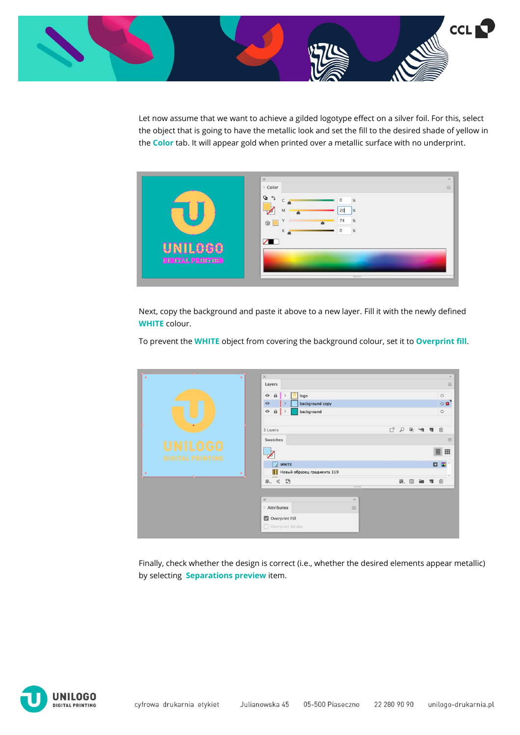

Let now assume that we want to achieve a gilded logotype effect on a silver foil. For this, select the object that is going to have the metallic look and set the fill to the desired shade of yellow in the **Color** tab. It will appear gold when printed over a metallic surface with no underprint.



Next, copy the background and paste it above to a new layer. Fill it with the newly defined **WHITE** colour.

To prevent the **WHITE** object from covering the background colour, set it to **Overprint fill**.

| $_{\odot}$<br>$\circledcirc$                                | $\times$<br>Layers<br>$\odot$<br>$\hat{\mathbf{n}}$<br>logo<br>$\rightarrow$<br>O<br>background copy<br>$\odot$<br>$\,$<br>$\theta$<br>$\odot$<br>background<br>$\rightarrow$ |           |            |     | $\ll$<br>$\equiv$<br>$\circ$<br>$\circ$<br>$\circ$                        |
|-------------------------------------------------------------|-------------------------------------------------------------------------------------------------------------------------------------------------------------------------------|-----------|------------|-----|---------------------------------------------------------------------------|
| <b>DIGITAL PRINTING</b><br>$\circledcirc$<br>$\circledcirc$ | 3 Layers<br>Swatches<br><b>WHITE</b><br>$\lambda$<br>Новый образец градиента 119<br>ш                                                                                         | $C_1$ $Q$ | 届          | 明 理 | 面<br>三<br>$\qquad \qquad \blacksquare$<br>$\equiv$<br><b>DE</b><br>$\sim$ |
|                                                             | 题<br>$\ll$<br>II.<br><b>TRIBUILITY</b>                                                                                                                                        |           | 图, 图 编 司 自 |     |                                                                           |
|                                                             | $\times$<br>$\ll$<br><b>C</b> Attributes<br>$\equiv$<br>Overprint Fill<br>Overprint Stroke                                                                                    |           |            |     |                                                                           |

Finally, check whether the design is correct (i.e., whether the desired elements appear metallic) by selecting **Separations preview** item.